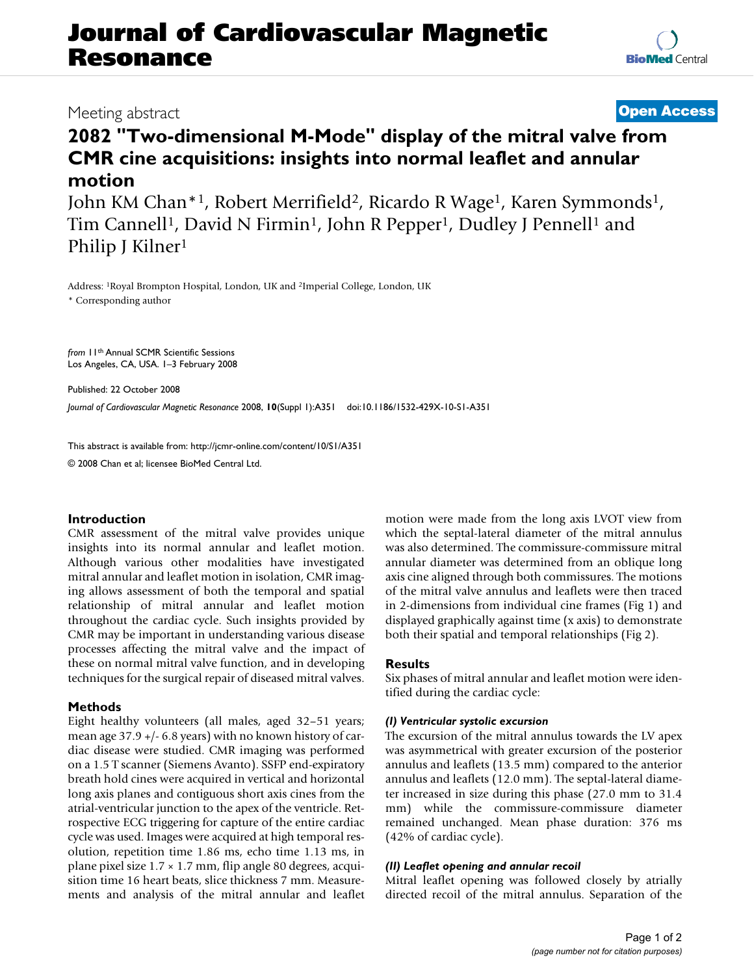# **Journal of Cardiovascular Magnetic Resonance**

## Meeting abstract **[Open Access](http://www.biomedcentral.com/info/about/charter/)**

## **2082 "Two-dimensional M-Mode" display of the mitral valve from CMR cine acquisitions: insights into normal leaflet and annular motion**

John KM Chan\*<sup>1</sup>, Robert Merrifield<sup>2</sup>, Ricardo R Wage<sup>1</sup>, Karen Symmonds<sup>1</sup>, Tim Cannell<sup>1</sup>, David N Firmin<sup>1</sup>, John R Pepper<sup>1</sup>, Dudley J Pennell<sup>1</sup> and Philip J Kilner<sup>1</sup>

Address: 1Royal Brompton Hospital, London, UK and 2Imperial College, London, UK \* Corresponding author

*from* 11th Annual SCMR Scientific Sessions Los Angeles, CA, USA. 1–3 February 2008

Published: 22 October 2008

*Journal of Cardiovascular Magnetic Resonance* 2008, **10**(Suppl 1):A351 doi:10.1186/1532-429X-10-S1-A351

[This abstract is available from: http://jcmr-online.com/content/10/S1/A351](http://jcmr-online.com/content/10/S1/A351) © 2008 Chan et al; licensee BioMed Central Ltd.

### **Introduction**

CMR assessment of the mitral valve provides unique insights into its normal annular and leaflet motion. Although various other modalities have investigated mitral annular and leaflet motion in isolation, CMR imaging allows assessment of both the temporal and spatial relationship of mitral annular and leaflet motion throughout the cardiac cycle. Such insights provided by CMR may be important in understanding various disease processes affecting the mitral valve and the impact of these on normal mitral valve function, and in developing techniques for the surgical repair of diseased mitral valves.

### **Methods**

Eight healthy volunteers (all males, aged 32–51 years; mean age 37.9 +/- 6.8 years) with no known history of cardiac disease were studied. CMR imaging was performed on a 1.5 T scanner (Siemens Avanto). SSFP end-expiratory breath hold cines were acquired in vertical and horizontal long axis planes and contiguous short axis cines from the atrial-ventricular junction to the apex of the ventricle. Retrospective ECG triggering for capture of the entire cardiac cycle was used. Images were acquired at high temporal resolution, repetition time 1.86 ms, echo time 1.13 ms, in plane pixel size 1.7 × 1.7 mm, flip angle 80 degrees, acquisition time 16 heart beats, slice thickness 7 mm. Measurements and analysis of the mitral annular and leaflet motion were made from the long axis LVOT view from which the septal-lateral diameter of the mitral annulus was also determined. The commissure-commissure mitral annular diameter was determined from an oblique long axis cine aligned through both commissures. The motions of the mitral valve annulus and leaflets were then traced in 2-dimensions from individual cine frames (Fig 1) and displayed graphically against time (x axis) to demonstrate both their spatial and temporal relationships (Fig 2).

### **Results**

Six phases of mitral annular and leaflet motion were identified during the cardiac cycle:

### *(I) Ventricular systolic excursion*

The excursion of the mitral annulus towards the LV apex was asymmetrical with greater excursion of the posterior annulus and leaflets (13.5 mm) compared to the anterior annulus and leaflets (12.0 mm). The septal-lateral diameter increased in size during this phase (27.0 mm to 31.4 mm) while the commissure-commissure diameter remained unchanged. Mean phase duration: 376 ms (42% of cardiac cycle).

### *(II) Leaflet opening and annular recoil*

Mitral leaflet opening was followed closely by atrially directed recoil of the mitral annulus. Separation of the